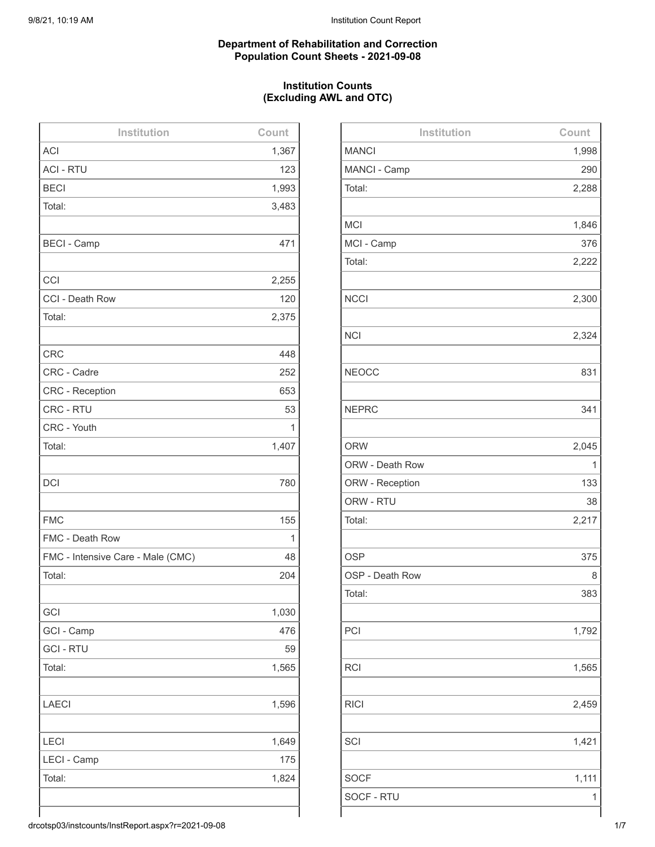#### **Department of Rehabilitation and Correction Population Count Sheets - 2021-09-08**

## **Institution Counts (Excluding AWL and OTC)**

| Institution                       | Count |
|-----------------------------------|-------|
| <b>ACI</b>                        | 1,367 |
| <b>ACI - RTU</b>                  | 123   |
| <b>BECI</b>                       | 1,993 |
| Total:                            | 3,483 |
|                                   |       |
| <b>BECI - Camp</b>                | 471   |
|                                   |       |
| CCI                               | 2,255 |
| CCI - Death Row                   | 120   |
| Total:                            | 2,375 |
|                                   |       |
| <b>CRC</b>                        | 448   |
| CRC - Cadre                       | 252   |
| <b>CRC</b> - Reception            | 653   |
| CRC - RTU                         | 53    |
| CRC - Youth                       | 1     |
| Total:                            | 1,407 |
|                                   |       |
| <b>DCI</b>                        | 780   |
|                                   |       |
| <b>FMC</b>                        | 155   |
| FMC - Death Row                   | 1     |
| FMC - Intensive Care - Male (CMC) | 48    |
| Total:                            | 204   |
|                                   |       |
| GCI                               | 1,030 |
| GCI - Camp                        | 476   |
| <b>GCI - RTU</b>                  | 59    |
| Total:                            | 1,565 |
|                                   |       |
| <b>LAECI</b>                      | 1,596 |
|                                   |       |
| LECI                              | 1,649 |
| LECI - Camp                       | 175   |
| Total:                            | 1,824 |
|                                   |       |
|                                   |       |

| Institution     | Count |
|-----------------|-------|
| <b>MANCI</b>    | 1,998 |
| MANCI - Camp    | 290   |
| Total:          | 2,288 |
|                 |       |
| <b>MCI</b>      | 1,846 |
| MCI - Camp      | 376   |
| Total:          | 2,222 |
|                 |       |
| <b>NCCI</b>     | 2,300 |
|                 |       |
| <b>NCI</b>      | 2,324 |
|                 |       |
| <b>NEOCC</b>    | 831   |
|                 |       |
| <b>NEPRC</b>    | 341   |
|                 |       |
| <b>ORW</b>      | 2,045 |
| ORW - Death Row | 1     |
| ORW - Reception | 133   |
| ORW - RTU       | 38    |
| Total:          | 2,217 |
|                 |       |
| <b>OSP</b>      | 375   |
| OSP - Death Row | 8     |
| Total:          | 383   |
|                 |       |
| PCI             | 1,792 |
|                 |       |
| <b>RCI</b>      | 1,565 |
|                 |       |
| <b>RICI</b>     | 2,459 |
|                 |       |
| SCI             | 1,421 |
|                 |       |
| <b>SOCF</b>     | 1,111 |
| SOCF - RTU      | 1     |
|                 |       |

drcotsp03/instcounts/InstReport.aspx?r=2021-09-08 1/7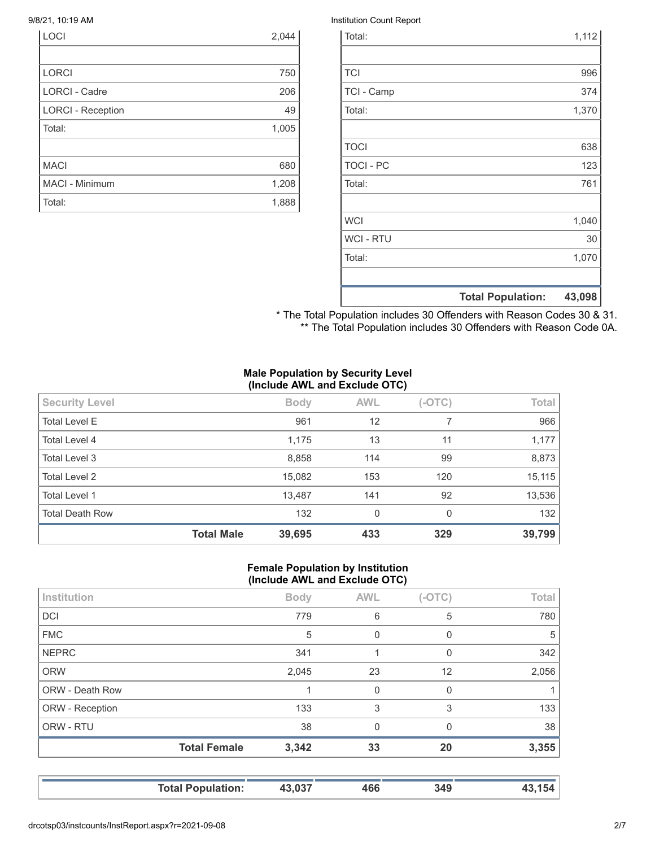| LOCI                     | 2,044 |
|--------------------------|-------|
|                          |       |
| <b>LORCI</b>             | 750   |
| <b>LORCI - Cadre</b>     | 206   |
| <b>LORCI - Reception</b> | 49    |
| Total:                   | 1,005 |
|                          |       |
| <b>MACI</b>              | 680   |
| MACI - Minimum           | 1,208 |
| Total:                   | 1,888 |

#### 9/8/21, 10:19 AM Institution Count Report

|                  | <b>Total Population:</b> | 43,098 |
|------------------|--------------------------|--------|
|                  |                          |        |
| Total:           |                          | 1,070  |
| <b>WCI - RTU</b> |                          | 30     |
| <b>WCI</b>       |                          | 1,040  |
|                  |                          |        |
| Total:           |                          | 761    |
| <b>TOCI - PC</b> |                          | 123    |
| <b>TOCI</b>      |                          | 638    |
|                  |                          |        |
| Total:           |                          | 1,370  |
| TCI - Camp       |                          | 374    |
| <b>TCI</b>       |                          | 996    |
|                  |                          |        |
| Total:           |                          | 1,112  |

\* The Total Population includes 30 Offenders with Reason Codes 30 & 31. \*\* The Total Population includes 30 Offenders with Reason Code 0A.

#### **Male Population by Security Level (Include AWL and Exclude OTC)**

| <b>Security Level</b>  |                   | <b>Body</b> | <b>AWL</b>   | $(-OTC)$ | Total  |
|------------------------|-------------------|-------------|--------------|----------|--------|
| <b>Total Level E</b>   |                   | 961         | 12           |          | 966    |
| Total Level 4          |                   | 1,175       | 13           | 11       | 1,177  |
| Total Level 3          |                   | 8,858       | 114          | 99       | 8,873  |
| <b>Total Level 2</b>   |                   | 15,082      | 153          | 120      | 15,115 |
| <b>Total Level 1</b>   |                   | 13,487      | 141          | 92       | 13,536 |
| <b>Total Death Row</b> |                   | 132         | $\mathbf{0}$ | $\Omega$ | 132    |
|                        | <b>Total Male</b> | 39,695      | 433          | 329      | 39,799 |

#### **Female Population by Institution (Include AWL and Exclude OTC)**

| Institution     |                     | <b>Body</b> | <b>AWL</b> | $(-OTC)$ | Total |
|-----------------|---------------------|-------------|------------|----------|-------|
| <b>DCI</b>      |                     | 779         | 6          | 5        | 780   |
| <b>FMC</b>      |                     | 5           | 0          | 0        | 5     |
| <b>NEPRC</b>    |                     | 341         |            | 0        | 342   |
| <b>ORW</b>      |                     | 2,045       | 23         | 12       | 2,056 |
| ORW - Death Row |                     |             | 0          | 0        | 1     |
| ORW - Reception |                     | 133         | 3          | 3        | 133   |
| ORW - RTU       |                     | 38          | $\Omega$   | $\Omega$ | 38    |
|                 | <b>Total Female</b> | 3,342       | 33         | 20       | 3,355 |
|                 |                     |             |            |          |       |

**Total Population: 43,037 466 349 43,154**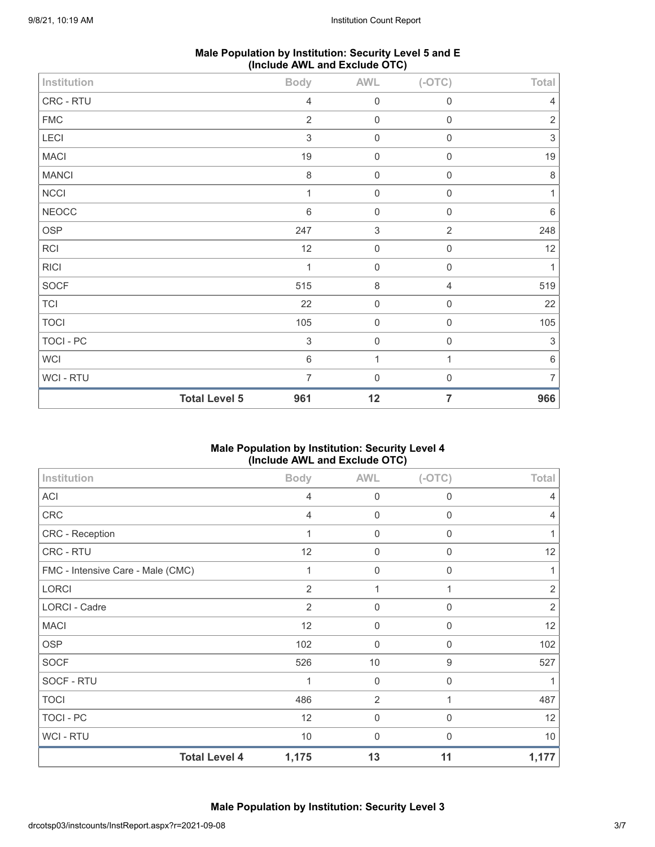| Male Population by Institution: Security Level 5 and E |  |
|--------------------------------------------------------|--|
| (Include AWL and Exclude OTC)                          |  |

|              | <b>Total Level 5</b> | 961                       | 12                        | $\overline{7}$                       | 966            |
|--------------|----------------------|---------------------------|---------------------------|--------------------------------------|----------------|
| WCI - RTU    |                      | $\overline{7}$            | $\mathbf 0$               | $\mathbf 0$                          | $\overline{7}$ |
| <b>WCI</b>   |                      | $\,6\,$                   | $\mathbf{1}$              | 1                                    | $\,6\,$        |
| TOCI - PC    |                      | $\ensuremath{\mathsf{3}}$ | $\mathbf 0$               | $\mathbf 0$                          | $\sqrt{3}$     |
| <b>TOCI</b>  |                      | 105                       | $\mathbf 0$               | $\mathbf 0$                          | 105            |
| TCI          |                      | 22                        | $\mathbf 0$               | $\boldsymbol{0}$                     | 22             |
| SOCF         |                      | 515                       | $\,8\,$                   | $\overline{4}$                       | 519            |
| <b>RICI</b>  |                      | $\mathbf{1}$              | $\mathsf{O}\xspace$       | $\mathbf 0$                          | $\mathbf 1$    |
| RCI          |                      | 12                        | $\mathsf{O}\xspace$       | $\mathbf 0$                          | 12             |
| OSP          |                      | 247                       | $\ensuremath{\mathsf{3}}$ | $\sqrt{2}$                           | 248            |
| <b>NEOCC</b> |                      | $6\,$                     | $\mathbf 0$               | $\mathbf 0$                          | 6              |
| NCCI         |                      | $\mathbf{1}$              | $\mathbf 0$               | $\mathbf 0$                          | $\mathbf{1}$   |
| <b>MANCI</b> |                      | 8                         | $\mathbf 0$               | $\mathbf 0$                          | $\,8\,$        |
| MACI         |                      | 19                        | $\mathbf 0$               | $\mathbf 0$                          | 19             |
| LECI         |                      | $\mathfrak{Z}$            | $\mathbf 0$               | $\mathbf 0$                          | $\sqrt{3}$     |
| ${\sf FMC}$  |                      | $\overline{2}$            | $\mathbf 0$               | $\mathbf 0$                          | $\sqrt{2}$     |
| CRC - RTU    |                      | $\overline{4}$            | $\mathbf 0$               | $\mathbf 0$                          | 4              |
| Institution  |                      | <b>Body</b>               | AWL                       | $\overline{\phantom{a}}$<br>$(-OTC)$ | Total          |

## **Male Population by Institution: Security Level 4 (Include AWL and Exclude OTC)**

| Institution                       | <b>Body</b>    | <b>AWL</b>       | $(-OTC)$         | Total          |
|-----------------------------------|----------------|------------------|------------------|----------------|
| <b>ACI</b>                        | 4              | $\boldsymbol{0}$ | 0                | 4              |
| CRC                               | $\overline{4}$ | $\mathbf 0$      | $\mathbf 0$      | $\overline{4}$ |
| CRC - Reception                   | 1              | $\mathbf 0$      | $\mathbf 0$      | $\mathbf{1}$   |
| CRC - RTU                         | 12             | 0                | 0                | 12             |
| FMC - Intensive Care - Male (CMC) | 1              | 0                | $\mathbf 0$      | $\mathbf{1}$   |
| <b>LORCI</b>                      | $\overline{2}$ | 1                | 1                | $\overline{2}$ |
| <b>LORCI - Cadre</b>              | 2              | $\mathbf 0$      | $\Omega$         | $\overline{2}$ |
| <b>MACI</b>                       | 12             | 0                | 0                | 12             |
| <b>OSP</b>                        | 102            | 0                | $\mathbf 0$      | 102            |
| <b>SOCF</b>                       | 526            | 10               | $\boldsymbol{9}$ | 527            |
| SOCF - RTU                        |                | $\mathbf 0$      | 0                |                |
| <b>TOCI</b>                       | 486            | $\overline{2}$   | 1                | 487            |
| <b>TOCI - PC</b>                  | 12             | $\mathbf 0$      | $\mathbf 0$      | 12             |
| <b>WCI-RTU</b>                    | 10             | 0                | 0                | 10             |
| <b>Total Level 4</b>              | 1,175          | 13               | 11               | 1,177          |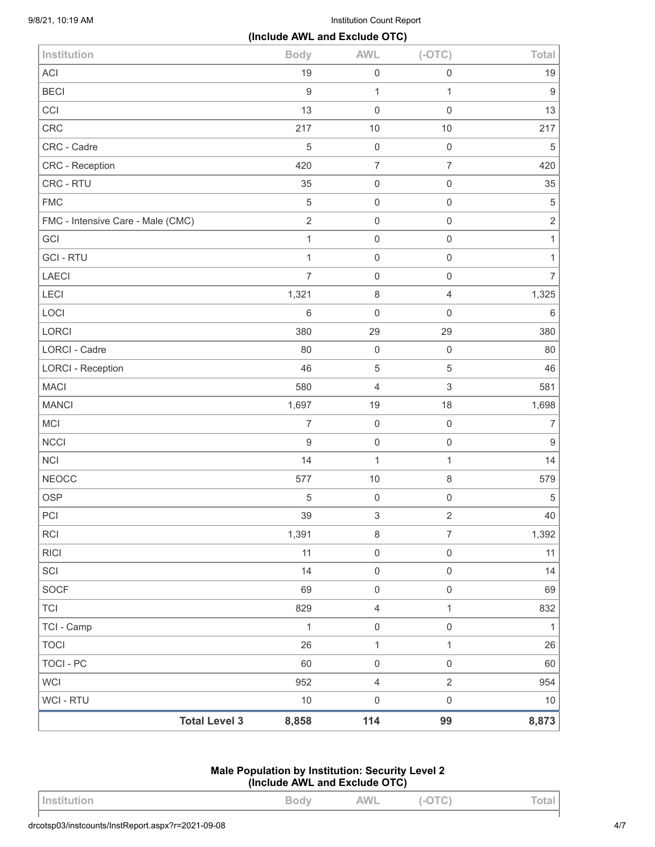9/8/21, 10:19 AM Institution Count Report

|                                   | (Include AWL and Exclude OTC) |                           |                     |                  |
|-----------------------------------|-------------------------------|---------------------------|---------------------|------------------|
| Institution                       | <b>Body</b>                   | <b>AWL</b>                | $(-OTC)$            | Total            |
| <b>ACI</b>                        | 19                            | $\mathbf 0$               | $\mathbf 0$         | 19               |
| <b>BECI</b>                       | $9\,$                         | $\mathbf{1}$              | $\mathbf{1}$        | $\boldsymbol{9}$ |
| CCI                               | 13                            | $\mathbf 0$               | $\mathbf 0$         | 13               |
| CRC                               | 217                           | 10                        | $10$                | 217              |
| CRC - Cadre                       | $\,$ 5 $\,$                   | $\mathbf 0$               | $\mathbf 0$         | $\,$ 5 $\,$      |
| <b>CRC</b> - Reception            | 420                           | $\boldsymbol{7}$          | $\overline{7}$      | 420              |
| CRC - RTU                         | 35                            | $\mathbf 0$               | $\mathbf 0$         | 35               |
| <b>FMC</b>                        | $\mathbf 5$                   | $\mathbf 0$               | $\mathbf 0$         | $\sqrt{5}$       |
| FMC - Intensive Care - Male (CMC) | $\overline{2}$                | $\mathbf 0$               | $\mathbf 0$         | $\overline{2}$   |
| GCI                               | $\mathbf{1}$                  | $\mathbf 0$               | $\mathbf 0$         | $\mathbf{1}$     |
| <b>GCI-RTU</b>                    | $\mathbf{1}$                  | $\mathbf 0$               | $\mathbf 0$         | $\mathbf{1}$     |
| LAECI                             | $\overline{7}$                | $\mathbf 0$               | $\mathbf 0$         | $\overline{7}$   |
| LECI                              | 1,321                         | $\,8\,$                   | $\overline{4}$      | 1,325            |
| LOCI                              | $\,6\,$                       | $\mathbf 0$               | $\mathbf 0$         | $\,6\,$          |
| LORCI                             | 380                           | 29                        | 29                  | 380              |
| LORCI - Cadre                     | 80                            | $\mathbf 0$               | $\mathbf 0$         | 80               |
| <b>LORCI - Reception</b>          | 46                            | $\overline{5}$            | $\sqrt{5}$          | 46               |
| <b>MACI</b>                       | 580                           | $\overline{4}$            | $\,$ 3 $\,$         | 581              |
| <b>MANCI</b>                      | 1,697                         | 19                        | 18                  | 1,698            |
| MCI                               | $\overline{7}$                | $\mathbf 0$               | $\mathbf 0$         | $\boldsymbol{7}$ |
| <b>NCCI</b>                       | $\boldsymbol{9}$              | $\mathbf 0$               | $\mathbf 0$         | $\boldsymbol{9}$ |
| <b>NCI</b>                        | 14                            | $\mathbf{1}$              | 1                   | 14               |
| <b>NEOCC</b>                      | 577                           | 10                        | $\,8\,$             | 579              |
| <b>OSP</b>                        | $\mathbf 5$                   | $\mathbf 0$               | $\mathbf 0$         | $\,$ 5 $\,$      |
| PCI                               | 39                            | $\ensuremath{\mathsf{3}}$ | $\overline{2}$      | 40               |
| <b>RCI</b>                        | 1,391                         | $\,8\,$                   | $\overline{7}$      | 1,392            |
| <b>RICI</b>                       | 11                            | $\mathbf 0$               | $\mathsf{O}\xspace$ | 11               |
| SCI                               | 14                            | $\mathbf 0$               | $\mathsf{O}\xspace$ | 14               |
| <b>SOCF</b>                       | 69                            | $\mathsf{O}\xspace$       | $\mathsf{O}\xspace$ | 69               |
| <b>TCI</b>                        | 829                           | $\overline{4}$            | 1                   | 832              |
| TCI - Camp                        | $\mathbf{1}$                  | $\mathbf 0$               | $\mathsf{O}\xspace$ | $\mathbf{1}$     |
| <b>TOCI</b>                       | 26                            | $\mathbf{1}$              | $\mathbf{1}$        | 26               |
| <b>TOCI - PC</b>                  | 60                            | $\mathsf{O}\xspace$       | $\mathsf{O}\xspace$ | 60               |
| <b>WCI</b>                        | 952                           | $\sqrt{4}$                | $\overline{2}$      | 954              |
| WCI - RTU                         | $10$                          | $\mathsf 0$               | $\mathbf 0$         | $10$             |
| <b>Total Level 3</b>              | 8,858                         | 114                       | 99                  | 8,873            |
|                                   |                               |                           |                     |                  |

# **Male Population by Institution: Security Level 2 (Include AWL and Exclude OTC)**

| <b>INSTITUTION</b> | ◡ | AWL | $\checkmark$<br>$\tilde{\phantom{a}}$ | $L = 1$ |
|--------------------|---|-----|---------------------------------------|---------|
|                    |   |     |                                       |         |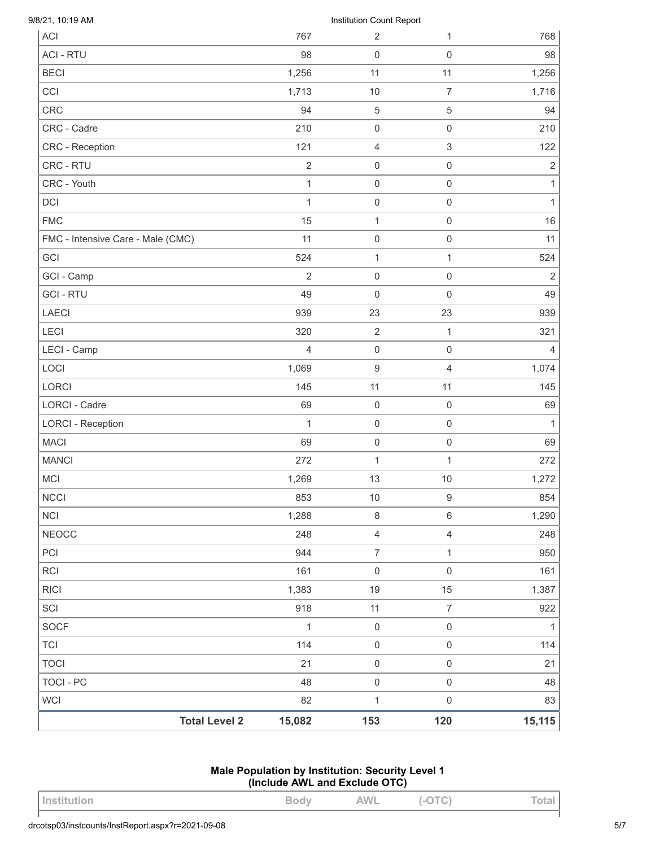| 9/8/21, 10:19 AM<br>ACI           | 767            | Institution Count Report<br>$\overline{2}$ | 1                   | 768            |
|-----------------------------------|----------------|--------------------------------------------|---------------------|----------------|
| <b>ACI - RTU</b>                  | 98             | $\mathbf 0$                                | 0                   | 98             |
| <b>BECI</b>                       | 1,256          | 11                                         | 11                  | 1,256          |
| CCI                               | 1,713          | 10                                         | $\overline{7}$      | 1,716          |
| <b>CRC</b>                        | 94             | $\,$ 5 $\,$                                | 5                   | 94             |
| CRC - Cadre                       | 210            | $\mathbf 0$                                | $\mathsf{O}\xspace$ | 210            |
| CRC - Reception                   | 121            | $\overline{4}$                             | 3                   | 122            |
| CRC - RTU                         | $\overline{2}$ | $\mathbf 0$                                | 0                   | $\sqrt{2}$     |
| CRC - Youth                       | $\mathbf{1}$   | $\mathbf 0$                                | 0                   | 1              |
| <b>DCI</b>                        | $\mathbf{1}$   | $\mathbf 0$                                | 0                   | 1              |
| <b>FMC</b>                        | 15             | 1                                          | 0                   | 16             |
| FMC - Intensive Care - Male (CMC) | 11             | $\mathbf 0$                                | 0                   | 11             |
| GCI                               | 524            | 1                                          | $\mathbf{1}$        | 524            |
| GCI - Camp                        | $\overline{2}$ | $\mathbf 0$                                | $\mathsf 0$         | $\overline{2}$ |
| <b>GCI-RTU</b>                    | 49             | $\mathbf 0$                                | 0                   | 49             |
| <b>LAECI</b>                      | 939            | 23                                         | 23                  | 939            |
| LECI                              | 320            | $\sqrt{2}$                                 | 1                   | 321            |
| LECI - Camp                       | 4              | $\mathbf 0$                                | 0                   | 4              |
| LOCI                              | 1,069          | $9\,$                                      | 4                   | 1,074          |
| LORCI                             | 145            | 11                                         | 11                  | 145            |
| LORCI - Cadre                     | 69             | $\mathbf 0$                                | $\boldsymbol{0}$    | 69             |
| <b>LORCI - Reception</b>          | $\mathbf{1}$   | $\mathbf 0$                                | $\mathsf{O}\xspace$ | $\mathbf{1}$   |
| <b>MACI</b>                       | 69             | $\mathbf 0$                                | 0                   | 69             |
| <b>MANCI</b>                      | 272            | 1                                          | 1                   | 272            |
| <b>MCI</b>                        | 1,269          | 13                                         | 10                  | 1,272          |
| <b>NCCI</b>                       | 853            | $10$                                       | $\boldsymbol{9}$    | 854            |
| <b>NCI</b>                        | 1,288          | $\,8\,$                                    | 6                   | 1,290          |
| <b>NEOCC</b>                      | 248            | $\overline{4}$                             | $\overline{4}$      | 248            |
| PCI                               | 944            | $\overline{7}$                             | $\mathbf{1}$        | 950            |
| <b>RCI</b>                        | 161            | $\mathbf 0$                                | $\mathsf 0$         | 161            |
| <b>RICI</b>                       | 1,383          | 19                                         | 15                  | 1,387          |
| SCI                               | 918            | 11                                         | $\overline{7}$      | 922            |
| <b>SOCF</b>                       | $\mathbf{1}$   | $\mathbf 0$                                | $\mathsf{O}\xspace$ | $\mathbf{1}$   |
| <b>TCI</b>                        | 114            | $\mathbf 0$                                | $\mathsf{O}\xspace$ | 114            |
| <b>TOCI</b>                       | 21             | $\mathsf{O}\xspace$                        | $\mathsf{O}\xspace$ | 21             |
| <b>TOCI - PC</b>                  | 48             | $\mathbf 0$                                | $\mathsf 0$         | 48             |
| <b>WCI</b>                        | 82             | $\mathbf{1}$                               | $\mathbf 0$         | 83             |
| <b>Total Level 2</b>              | 15,082         | 153                                        | 120                 | 15,115         |

# **Male Population by Institution: Security Level 1 (Include AWL and Exclude OTC)**

| , Institution | $\sim$ M | AWL | $\sqrt{2}$<br>$\tilde{\phantom{a}}$<br>÷ |  |
|---------------|----------|-----|------------------------------------------|--|
|               |          |     |                                          |  |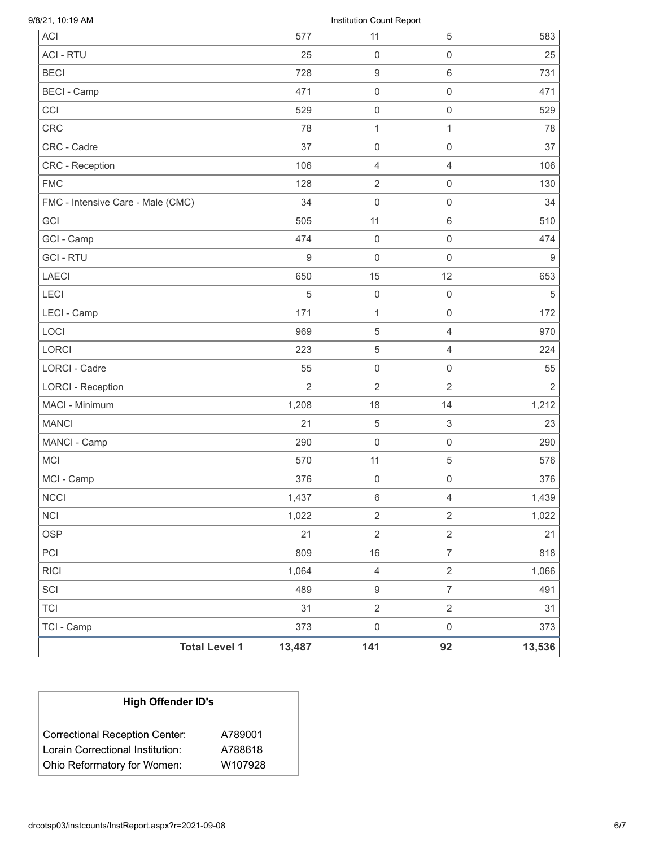| <b>FMC</b><br>FMC - Intensive Care - Male (CMC)<br>GCI<br>GCI - Camp<br><b>GCI-RTU</b><br><b>LAECI</b><br>LECI<br>LECI - Camp<br>LOCI<br>LORCI<br><b>LORCI - Cadre</b><br><b>LORCI - Reception</b><br>MACI - Minimum<br><b>MANCI</b><br>MANCI - Camp<br><b>MCI</b><br>MCI - Camp<br><b>NCCI</b> | 128<br>34<br>505<br>474<br>$\boldsymbol{9}$<br>650<br>5<br>171<br>969<br>223<br>55<br>$\overline{2}$<br>1,208 | $\overline{2}$<br>$\mathsf{O}\xspace$<br>11<br>$\mathbf 0$<br>0<br>15<br>$\boldsymbol{0}$<br>$\mathbf{1}$<br>5<br>$\mathbf 5$<br>0<br>$\overline{2}$ | $\mathbf 0$<br>$\mathbf 0$<br>$6\,$<br>$\mathbf 0$<br>$\mathsf{O}\xspace$<br>12<br>$\mathbf 0$<br>$\mathbf 0$<br>$\overline{4}$<br>$\overline{4}$<br>$\mathbf 0$ | 130                                                                       |
|-------------------------------------------------------------------------------------------------------------------------------------------------------------------------------------------------------------------------------------------------------------------------------------------------|---------------------------------------------------------------------------------------------------------------|------------------------------------------------------------------------------------------------------------------------------------------------------|------------------------------------------------------------------------------------------------------------------------------------------------------------------|---------------------------------------------------------------------------|
|                                                                                                                                                                                                                                                                                                 |                                                                                                               |                                                                                                                                                      |                                                                                                                                                                  | 34<br>510<br>474<br>$9\,$<br>653<br>$\sqrt{5}$<br>172<br>970<br>224<br>55 |
|                                                                                                                                                                                                                                                                                                 |                                                                                                               |                                                                                                                                                      |                                                                                                                                                                  |                                                                           |
|                                                                                                                                                                                                                                                                                                 |                                                                                                               |                                                                                                                                                      |                                                                                                                                                                  |                                                                           |
|                                                                                                                                                                                                                                                                                                 |                                                                                                               |                                                                                                                                                      |                                                                                                                                                                  |                                                                           |
|                                                                                                                                                                                                                                                                                                 |                                                                                                               |                                                                                                                                                      |                                                                                                                                                                  |                                                                           |
|                                                                                                                                                                                                                                                                                                 |                                                                                                               |                                                                                                                                                      |                                                                                                                                                                  |                                                                           |
|                                                                                                                                                                                                                                                                                                 |                                                                                                               |                                                                                                                                                      |                                                                                                                                                                  |                                                                           |
|                                                                                                                                                                                                                                                                                                 |                                                                                                               |                                                                                                                                                      |                                                                                                                                                                  |                                                                           |
|                                                                                                                                                                                                                                                                                                 |                                                                                                               |                                                                                                                                                      |                                                                                                                                                                  |                                                                           |
|                                                                                                                                                                                                                                                                                                 |                                                                                                               |                                                                                                                                                      |                                                                                                                                                                  |                                                                           |
|                                                                                                                                                                                                                                                                                                 |                                                                                                               |                                                                                                                                                      |                                                                                                                                                                  |                                                                           |
|                                                                                                                                                                                                                                                                                                 |                                                                                                               |                                                                                                                                                      |                                                                                                                                                                  |                                                                           |
|                                                                                                                                                                                                                                                                                                 |                                                                                                               |                                                                                                                                                      | $\overline{2}$                                                                                                                                                   | $\overline{2}$                                                            |
|                                                                                                                                                                                                                                                                                                 |                                                                                                               | 18                                                                                                                                                   | 14                                                                                                                                                               | 1,212                                                                     |
|                                                                                                                                                                                                                                                                                                 | 21                                                                                                            | $\mathbf 5$                                                                                                                                          | $\ensuremath{\mathsf{3}}$                                                                                                                                        | 23                                                                        |
|                                                                                                                                                                                                                                                                                                 | 290                                                                                                           | $\boldsymbol{0}$                                                                                                                                     | $\mathsf{O}\xspace$                                                                                                                                              | 290                                                                       |
|                                                                                                                                                                                                                                                                                                 | 570                                                                                                           | 11                                                                                                                                                   | $\,$ 5 $\,$                                                                                                                                                      | 576                                                                       |
|                                                                                                                                                                                                                                                                                                 | 376                                                                                                           | $\mathsf 0$                                                                                                                                          | $\boldsymbol{0}$                                                                                                                                                 | 376                                                                       |
|                                                                                                                                                                                                                                                                                                 | 1,437                                                                                                         | 6                                                                                                                                                    | 4                                                                                                                                                                | 1,439                                                                     |
| <b>NCI</b>                                                                                                                                                                                                                                                                                      | 1,022                                                                                                         | $\overline{2}$                                                                                                                                       | $\overline{2}$                                                                                                                                                   | 1,022                                                                     |
| <b>OSP</b>                                                                                                                                                                                                                                                                                      | 21                                                                                                            | $\overline{2}$                                                                                                                                       | $\overline{2}$                                                                                                                                                   | 21                                                                        |
| PCI                                                                                                                                                                                                                                                                                             | 809                                                                                                           | $16$                                                                                                                                                 | $\overline{7}$                                                                                                                                                   | 818                                                                       |
| <b>RICI</b>                                                                                                                                                                                                                                                                                     | 1,064                                                                                                         | $\overline{4}$                                                                                                                                       | $\overline{2}$                                                                                                                                                   | 1,066                                                                     |
| SCI                                                                                                                                                                                                                                                                                             | 489                                                                                                           | $\mathsf g$                                                                                                                                          | $\overline{7}$                                                                                                                                                   | 491                                                                       |
| <b>TCI</b>                                                                                                                                                                                                                                                                                      | 31                                                                                                            | $\overline{2}$                                                                                                                                       | $\overline{2}$                                                                                                                                                   | 31                                                                        |
| TCI - Camp                                                                                                                                                                                                                                                                                      | 373                                                                                                           |                                                                                                                                                      | $\mathsf{O}\xspace$                                                                                                                                              | 373                                                                       |
| <b>Total Level 1</b><br>13,487                                                                                                                                                                                                                                                                  |                                                                                                               | $\mathsf{O}\xspace$                                                                                                                                  |                                                                                                                                                                  |                                                                           |

| <b>High Offender ID's</b>                                       |                    |  |  |  |
|-----------------------------------------------------------------|--------------------|--|--|--|
| <b>Correctional Reception Center:</b>                           | A789001            |  |  |  |
| Lorain Correctional Institution:<br>Ohio Reformatory for Women: | A788618<br>W107928 |  |  |  |